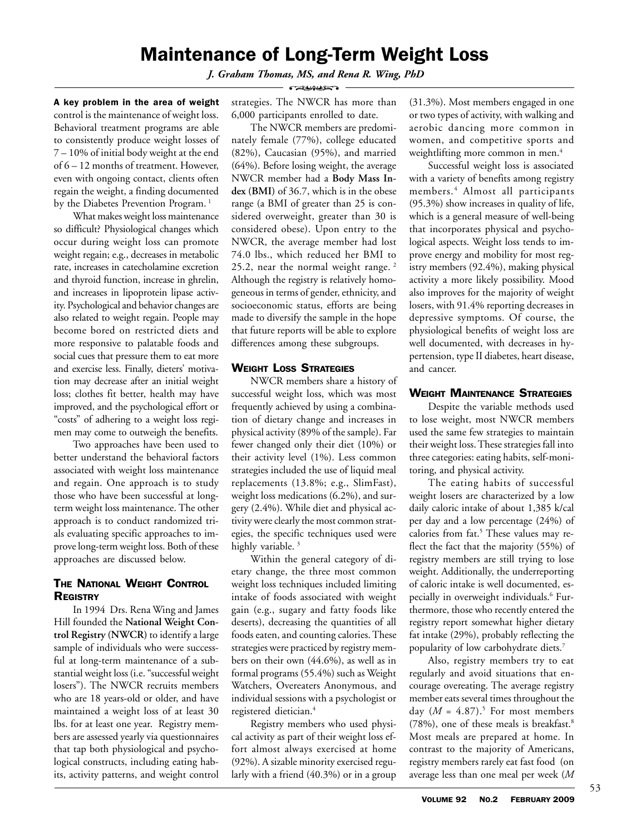# Maintenance of Long-Term Weight Loss

*J. Graham Thomas, MS, and Rena R. Wing, PhD*

- CERAMANT -

A key problem in the area of weight control is the maintenance of weight loss. Behavioral treatment programs are able to consistently produce weight losses of 7 – 10% of initial body weight at the end of 6 – 12 months of treatment. However, even with ongoing contact, clients often regain the weight, a finding documented by the Diabetes Prevention Program.<sup>1</sup>

What makes weight loss maintenance so difficult? Physiological changes which occur during weight loss can promote weight regain; e.g., decreases in metabolic rate, increases in catecholamine excretion and thyroid function, increase in ghrelin, and increases in lipoprotein lipase activity. Psychological and behavior changes are also related to weight regain. People may become bored on restricted diets and more responsive to palatable foods and social cues that pressure them to eat more and exercise less. Finally, dieters' motivation may decrease after an initial weight loss; clothes fit better, health may have improved, and the psychological effort or "costs" of adhering to a weight loss regimen may come to outweigh the benefits.

Two approaches have been used to better understand the behavioral factors associated with weight loss maintenance and regain. One approach is to study those who have been successful at longterm weight loss maintenance. The other approach is to conduct randomized trials evaluating specific approaches to improve long-term weight loss. Both of these approaches are discussed below.

## THE NATIONAL WEIGHT CONTROL **REGISTRY**

In 1994 Drs. Rena Wing and James Hill founded the **National Weight Control Registry (NWCR)** to identify a large sample of individuals who were successful at long-term maintenance of a substantial weight loss (i.e. "successful weight losers"). The NWCR recruits members who are 18 years-old or older, and have maintained a weight loss of at least 30 lbs. for at least one year. Registry members are assessed yearly via questionnaires that tap both physiological and psychological constructs, including eating habits, activity patterns, and weight control

strategies. The NWCR has more than 6,000 participants enrolled to date.

The NWCR members are predominately female (77%), college educated (82%), Caucasian (95%), and married (64%). Before losing weight, the average NWCR member had a **Body Mass Index (BMI)** of 36.7, which is in the obese range (a BMI of greater than 25 is considered overweight, greater than 30 is considered obese). Upon entry to the NWCR, the average member had lost 74.0 lbs., which reduced her BMI to 25.2, near the normal weight range. 2 Although the registry is relatively homogeneous in terms of gender, ethnicity, and socioeconomic status, efforts are being made to diversify the sample in the hope that future reports will be able to explore differences among these subgroups.

## WEIGHT LOSS STRATEGIES

NWCR members share a history of successful weight loss, which was most frequently achieved by using a combination of dietary change and increases in physical activity (89% of the sample). Far fewer changed only their diet (10%) or their activity level (1%). Less common strategies included the use of liquid meal replacements (13.8%; e.g., SlimFast), weight loss medications (6.2%), and surgery (2.4%). While diet and physical activity were clearly the most common strategies, the specific techniques used were highly variable.<sup>3</sup>

Within the general category of dietary change, the three most common weight loss techniques included limiting intake of foods associated with weight gain (e.g., sugary and fatty foods like deserts), decreasing the quantities of all foods eaten, and counting calories. These strategies were practiced by registry members on their own (44.6%), as well as in formal programs (55.4%) such as Weight Watchers, Overeaters Anonymous, and individual sessions with a psychologist or registered dietician.4

Registry members who used physical activity as part of their weight loss effort almost always exercised at home (92%). A sizable minority exercised regularly with a friend (40.3%) or in a group (31.3%). Most members engaged in one or two types of activity, with walking and aerobic dancing more common in women, and competitive sports and weightlifting more common in men.<sup>4</sup>

Successful weight loss is associated with a variety of benefits among registry members. <sup>4</sup> Almost all participants (95.3%) show increases in quality of life, which is a general measure of well-being that incorporates physical and psychological aspects. Weight loss tends to improve energy and mobility for most registry members (92.4%), making physical activity a more likely possibility. Mood also improves for the majority of weight losers, with 91.4% reporting decreases in depressive symptoms. Of course, the physiological benefits of weight loss are well documented, with decreases in hypertension, type II diabetes, heart disease, and cancer.

## WEIGHT MAINTENANCE STRATEGIES

Despite the variable methods used to lose weight, most NWCR members used the same few strategies to maintain their weight loss. These strategies fall into three categories: eating habits, self-monitoring, and physical activity.

The eating habits of successful weight losers are characterized by a low daily caloric intake of about 1,385 k/cal per day and a low percentage (24%) of calories from fat.<sup>5</sup> These values may reflect the fact that the majority (55%) of registry members are still trying to lose weight. Additionally, the underreporting of caloric intake is well documented, especially in overweight individuals.<sup>6</sup> Furthermore, those who recently entered the registry report somewhat higher dietary fat intake (29%), probably reflecting the popularity of low carbohydrate diets.7

Also, registry members try to eat regularly and avoid situations that encourage overeating. The average registry member eats several times throughout the day  $(M = 4.87).$ <sup>5</sup> For most members (78%), one of these meals is breakfast.8 Most meals are prepared at home. In contrast to the majority of Americans, registry members rarely eat fast food (on average less than one meal per week (*M*

53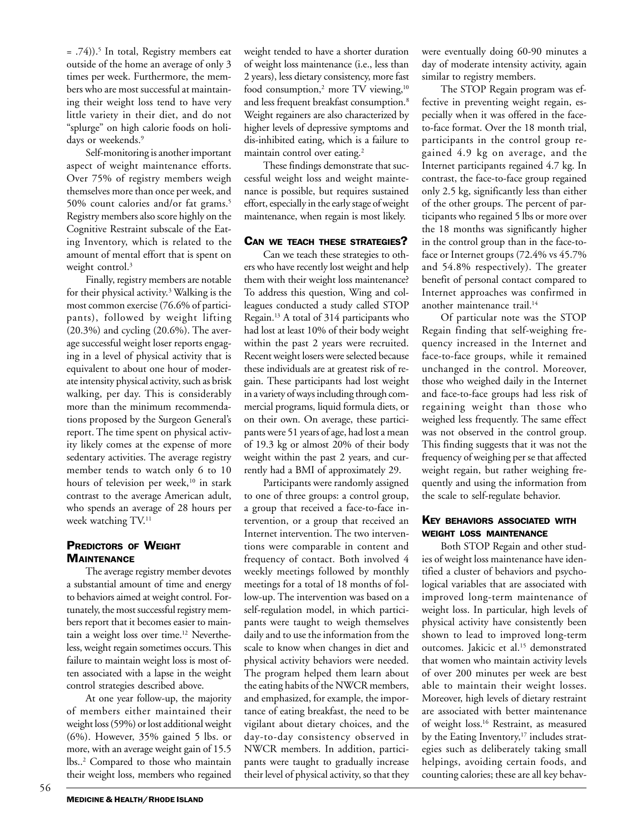= .74)).5 In total, Registry members eat outside of the home an average of only 3 times per week. Furthermore, the members who are most successful at maintaining their weight loss tend to have very little variety in their diet, and do not "splurge" on high calorie foods on holidays or weekends.<sup>9</sup>

Self-monitoring is another important aspect of weight maintenance efforts. Over 75% of registry members weigh themselves more than once per week, and 50% count calories and/or fat grams.<sup>5</sup> Registry members also score highly on the Cognitive Restraint subscale of the Eating Inventory, which is related to the amount of mental effort that is spent on weight control.<sup>3</sup>

Finally, registry members are notable for their physical activity.3 Walking is the most common exercise (76.6% of participants), followed by weight lifting (20.3%) and cycling (20.6%). The average successful weight loser reports engaging in a level of physical activity that is equivalent to about one hour of moderate intensity physical activity, such as brisk walking, per day. This is considerably more than the minimum recommendations proposed by the Surgeon General's report. The time spent on physical activity likely comes at the expense of more sedentary activities. The average registry member tends to watch only 6 to 10 hours of television per week,<sup>10</sup> in stark contrast to the average American adult, who spends an average of 28 hours per week watching TV.<sup>11</sup>

### PREDICTORS OF WEIGHT **MAINTENANCE**

The average registry member devotes a substantial amount of time and energy to behaviors aimed at weight control. Fortunately, the most successful registry members report that it becomes easier to maintain a weight loss over time.<sup>12</sup> Nevertheless, weight regain sometimes occurs. This failure to maintain weight loss is most often associated with a lapse in the weight control strategies described above.

At one year follow-up, the majority of members either maintained their weight loss (59%) or lost additional weight (6%). However, 35% gained 5 lbs. or more, with an average weight gain of 15.5 lbs..2 Compared to those who maintain their weight loss, members who regained

weight tended to have a shorter duration of weight loss maintenance (i.e., less than 2 years), less dietary consistency, more fast food consumption,<sup>2</sup> more TV viewing,<sup>10</sup> and less frequent breakfast consumption.8 Weight regainers are also characterized by higher levels of depressive symptoms and dis-inhibited eating, which is a failure to maintain control over eating.<sup>2</sup>

These findings demonstrate that successful weight loss and weight maintenance is possible, but requires sustained effort, especially in the early stage of weight maintenance, when regain is most likely.

#### CAN WE TEACH THESE STRATEGIES?

Can we teach these strategies to others who have recently lost weight and help them with their weight loss maintenance? To address this question, Wing and colleagues conducted a study called STOP Regain.13 A total of 314 participants who had lost at least 10% of their body weight within the past 2 years were recruited. Recent weight losers were selected because these individuals are at greatest risk of regain. These participants had lost weight in a variety of ways including through commercial programs, liquid formula diets, or on their own. On average, these participants were 51 years of age, had lost a mean of 19.3 kg or almost 20% of their body weight within the past 2 years, and currently had a BMI of approximately 29.

Participants were randomly assigned to one of three groups: a control group, a group that received a face-to-face intervention, or a group that received an Internet intervention. The two interventions were comparable in content and frequency of contact. Both involved 4 weekly meetings followed by monthly meetings for a total of 18 months of follow-up. The intervention was based on a self-regulation model, in which participants were taught to weigh themselves daily and to use the information from the scale to know when changes in diet and physical activity behaviors were needed. The program helped them learn about the eating habits of the NWCR members, and emphasized, for example, the importance of eating breakfast, the need to be vigilant about dietary choices, and the day-to-day consistency observed in NWCR members. In addition, participants were taught to gradually increase their level of physical activity, so that they

were eventually doing 60-90 minutes a day of moderate intensity activity, again similar to registry members.

The STOP Regain program was effective in preventing weight regain, especially when it was offered in the faceto-face format. Over the 18 month trial, participants in the control group regained 4.9 kg on average, and the Internet participants regained 4.7 kg. In contrast, the face-to-face group regained only 2.5 kg, significantly less than either of the other groups. The percent of participants who regained 5 lbs or more over the 18 months was significantly higher in the control group than in the face-toface or Internet groups (72.4% vs 45.7% and 54.8% respectively). The greater benefit of personal contact compared to Internet approaches was confirmed in another maintenance trail.<sup>14</sup>

Of particular note was the STOP Regain finding that self-weighing frequency increased in the Internet and face-to-face groups, while it remained unchanged in the control. Moreover, those who weighed daily in the Internet and face-to-face groups had less risk of regaining weight than those who weighed less frequently. The same effect was not observed in the control group. This finding suggests that it was not the frequency of weighing per se that affected weight regain, but rather weighing frequently and using the information from the scale to self-regulate behavior.

## KEY BEHAVIORS ASSOCIATED WITH WEIGHT LOSS MAINTENANCE

Both STOP Regain and other studies of weight loss maintenance have identified a cluster of behaviors and psychological variables that are associated with improved long-term maintenance of weight loss. In particular, high levels of physical activity have consistently been shown to lead to improved long-term outcomes. Jakicic et al.15 demonstrated that women who maintain activity levels of over 200 minutes per week are best able to maintain their weight losses. Moreover, high levels of dietary restraint are associated with better maintenance of weight loss.16 Restraint, as measured by the Eating Inventory,<sup>17</sup> includes strategies such as deliberately taking small helpings, avoiding certain foods, and counting calories; these are all key behav